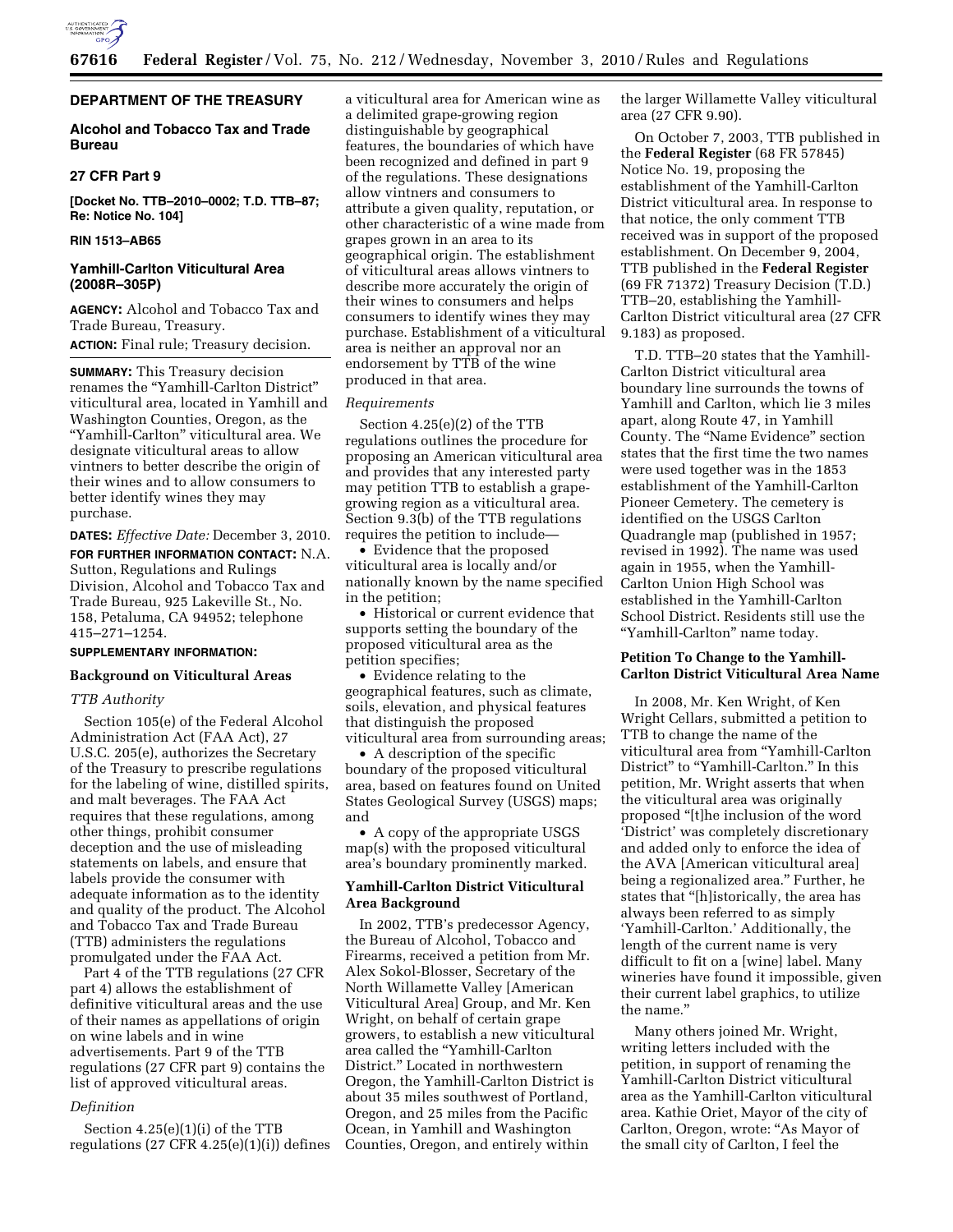

# **DEPARTMENT OF THE TREASURY**

# **Alcohol and Tobacco Tax and Trade Bureau**

#### **27 CFR Part 9**

**[Docket No. TTB–2010–0002; T.D. TTB–87; Re: Notice No. 104]** 

## **RIN 1513–AB65**

#### **Yamhill-Carlton Viticultural Area (2008R–305P)**

**AGENCY:** Alcohol and Tobacco Tax and Trade Bureau, Treasury. **ACTION:** Final rule; Treasury decision.

**SUMMARY:** This Treasury decision renames the ''Yamhill-Carlton District'' viticultural area, located in Yamhill and Washington Counties, Oregon, as the ''Yamhill-Carlton'' viticultural area. We designate viticultural areas to allow vintners to better describe the origin of their wines and to allow consumers to better identify wines they may purchase.

**DATES:** *Effective Date:* December 3, 2010. **FOR FURTHER INFORMATION CONTACT:** N.A. Sutton, Regulations and Rulings Division, Alcohol and Tobacco Tax and Trade Bureau, 925 Lakeville St., No. 158, Petaluma, CA 94952; telephone 415–271–1254.

# **SUPPLEMENTARY INFORMATION:**

## **Background on Viticultural Areas**

## *TTB Authority*

Section 105(e) of the Federal Alcohol Administration Act (FAA Act), 27 U.S.C. 205(e), authorizes the Secretary of the Treasury to prescribe regulations for the labeling of wine, distilled spirits, and malt beverages. The FAA Act requires that these regulations, among other things, prohibit consumer deception and the use of misleading statements on labels, and ensure that labels provide the consumer with adequate information as to the identity and quality of the product. The Alcohol and Tobacco Tax and Trade Bureau (TTB) administers the regulations promulgated under the FAA Act.

Part 4 of the TTB regulations (27 CFR part 4) allows the establishment of definitive viticultural areas and the use of their names as appellations of origin on wine labels and in wine advertisements. Part 9 of the TTB regulations (27 CFR part 9) contains the list of approved viticultural areas.

#### *Definition*

Section 4.25(e)(1)(i) of the TTB regulations  $(27 \text{ CFR } 4.25(e)(1)(i))$  defines a viticultural area for American wine as a delimited grape-growing region distinguishable by geographical features, the boundaries of which have been recognized and defined in part 9 of the regulations. These designations allow vintners and consumers to attribute a given quality, reputation, or other characteristic of a wine made from grapes grown in an area to its geographical origin. The establishment of viticultural areas allows vintners to describe more accurately the origin of their wines to consumers and helps consumers to identify wines they may purchase. Establishment of a viticultural area is neither an approval nor an endorsement by TTB of the wine produced in that area.

#### *Requirements*

Section 4.25(e)(2) of the TTB regulations outlines the procedure for proposing an American viticultural area and provides that any interested party may petition TTB to establish a grapegrowing region as a viticultural area. Section 9.3(b) of the TTB regulations requires the petition to include—

• Evidence that the proposed viticultural area is locally and/or nationally known by the name specified in the petition;

• Historical or current evidence that supports setting the boundary of the proposed viticultural area as the petition specifies;

• Evidence relating to the geographical features, such as climate, soils, elevation, and physical features that distinguish the proposed viticultural area from surrounding areas;

• A description of the specific boundary of the proposed viticultural area, based on features found on United States Geological Survey (USGS) maps; and

• A copy of the appropriate USGS map(s) with the proposed viticultural area's boundary prominently marked.

# **Yamhill-Carlton District Viticultural Area Background**

In 2002, TTB's predecessor Agency, the Bureau of Alcohol, Tobacco and Firearms, received a petition from Mr. Alex Sokol-Blosser, Secretary of the North Willamette Valley [American Viticultural Area] Group, and Mr. Ken Wright, on behalf of certain grape growers, to establish a new viticultural area called the ''Yamhill-Carlton District.'' Located in northwestern Oregon, the Yamhill-Carlton District is about 35 miles southwest of Portland, Oregon, and 25 miles from the Pacific Ocean, in Yamhill and Washington Counties, Oregon, and entirely within

the larger Willamette Valley viticultural area (27 CFR 9.90).

On October 7, 2003, TTB published in the **Federal Register** (68 FR 57845) Notice No. 19, proposing the establishment of the Yamhill-Carlton District viticultural area. In response to that notice, the only comment TTB received was in support of the proposed establishment. On December 9, 2004, TTB published in the **Federal Register**  (69 FR 71372) Treasury Decision (T.D.) TTB–20, establishing the Yamhill-Carlton District viticultural area (27 CFR 9.183) as proposed.

T.D. TTB–20 states that the Yamhill-Carlton District viticultural area boundary line surrounds the towns of Yamhill and Carlton, which lie 3 miles apart, along Route 47, in Yamhill County. The ''Name Evidence'' section states that the first time the two names were used together was in the 1853 establishment of the Yamhill-Carlton Pioneer Cemetery. The cemetery is identified on the USGS Carlton Quadrangle map (published in 1957; revised in 1992). The name was used again in 1955, when the Yamhill-Carlton Union High School was established in the Yamhill-Carlton School District. Residents still use the ''Yamhill-Carlton'' name today.

# **Petition To Change to the Yamhill-Carlton District Viticultural Area Name**

In 2008, Mr. Ken Wright, of Ken Wright Cellars, submitted a petition to TTB to change the name of the viticultural area from ''Yamhill-Carlton District" to "Yamhill-Carlton." In this petition, Mr. Wright asserts that when the viticultural area was originally proposed ''[t]he inclusion of the word 'District' was completely discretionary and added only to enforce the idea of the AVA [American viticultural area] being a regionalized area.'' Further, he states that ''[h]istorically, the area has always been referred to as simply 'Yamhill-Carlton.' Additionally, the length of the current name is very difficult to fit on a [wine] label. Many wineries have found it impossible, given their current label graphics, to utilize the name.''

Many others joined Mr. Wright, writing letters included with the petition, in support of renaming the Yamhill-Carlton District viticultural area as the Yamhill-Carlton viticultural area. Kathie Oriet, Mayor of the city of Carlton, Oregon, wrote: "As Mayor of the small city of Carlton, I feel the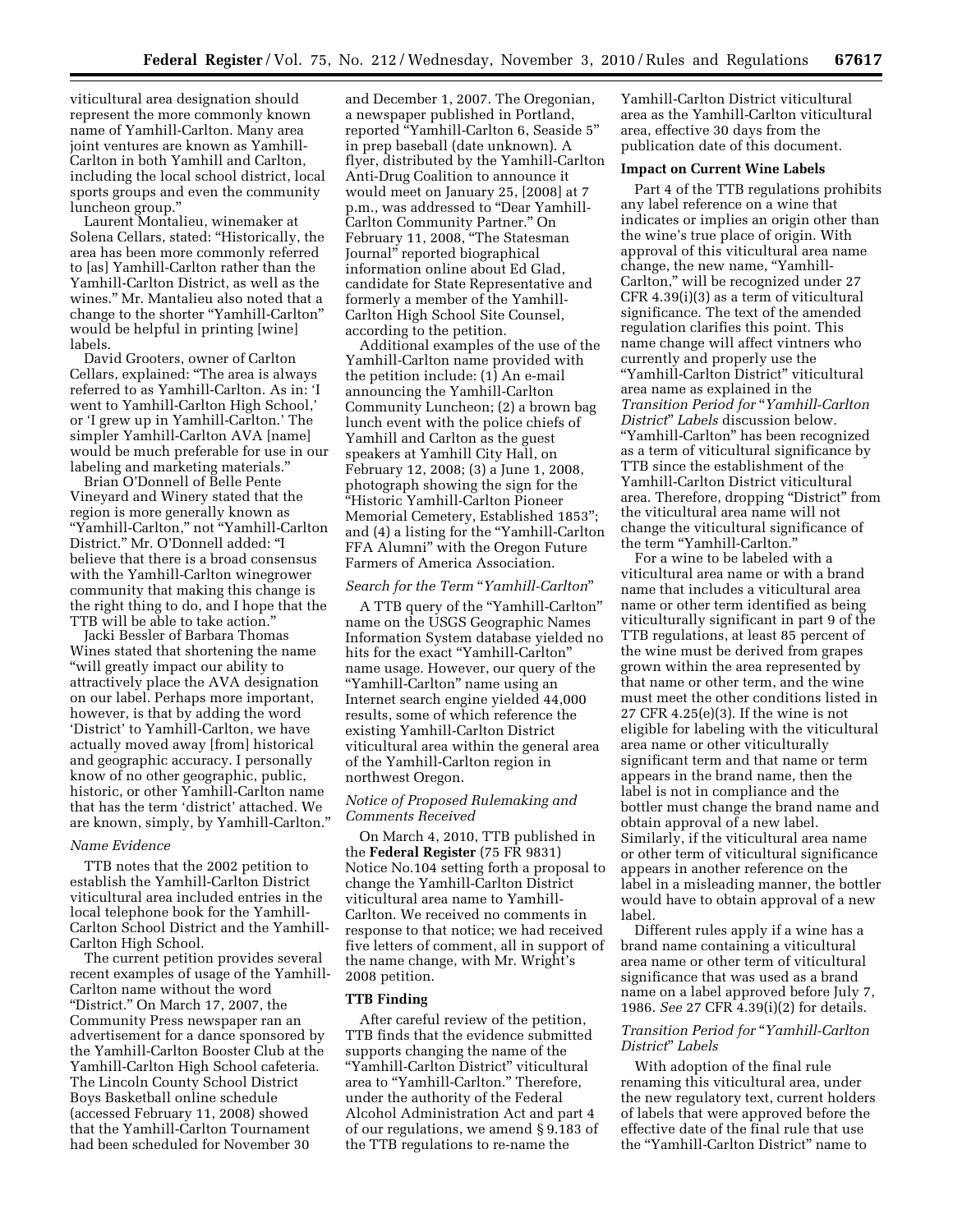viticultural area designation should represent the more commonly known name of Yamhill-Carlton. Many area joint ventures are known as Yamhill-Carlton in both Yamhill and Carlton, including the local school district, local sports groups and even the community luncheon group.''

Laurent Montalieu, winemaker at Solena Cellars, stated: ''Historically, the area has been more commonly referred to [as] Yamhill-Carlton rather than the Yamhill-Carlton District, as well as the wines.'' Mr. Mantalieu also noted that a change to the shorter ''Yamhill-Carlton'' would be helpful in printing [wine] labels.

David Grooters, owner of Carlton Cellars, explained: ''The area is always referred to as Yamhill-Carlton. As in: 'I went to Yamhill-Carlton High School,' or 'I grew up in Yamhill-Carlton.' The simpler Yamhill-Carlton AVA [name] would be much preferable for use in our labeling and marketing materials.''

Brian O'Donnell of Belle Pente Vineyard and Winery stated that the region is more generally known as ''Yamhill-Carlton,'' not ''Yamhill-Carlton District.'' Mr. O'Donnell added: ''I believe that there is a broad consensus with the Yamhill-Carlton winegrower community that making this change is the right thing to do, and I hope that the TTB will be able to take action.''

Jacki Bessler of Barbara Thomas Wines stated that shortening the name ''will greatly impact our ability to attractively place the AVA designation on our label. Perhaps more important, however, is that by adding the word 'District' to Yamhill-Carlton, we have actually moved away [from] historical and geographic accuracy. I personally know of no other geographic, public, historic, or other Yamhill-Carlton name that has the term 'district' attached. We are known, simply, by Yamhill-Carlton.''

#### *Name Evidence*

TTB notes that the 2002 petition to establish the Yamhill-Carlton District viticultural area included entries in the local telephone book for the Yamhill-Carlton School District and the Yamhill-Carlton High School.

The current petition provides several recent examples of usage of the Yamhill-Carlton name without the word ''District.'' On March 17, 2007, the Community Press newspaper ran an advertisement for a dance sponsored by the Yamhill-Carlton Booster Club at the Yamhill-Carlton High School cafeteria. The Lincoln County School District Boys Basketball online schedule (accessed February 11, 2008) showed that the Yamhill-Carlton Tournament had been scheduled for November 30

and December 1, 2007. The Oregonian, a newspaper published in Portland, reported ''Yamhill-Carlton 6, Seaside 5'' in prep baseball (date unknown). A flyer, distributed by the Yamhill-Carlton Anti-Drug Coalition to announce it would meet on January 25, [2008] at 7 p.m., was addressed to ''Dear Yamhill-Carlton Community Partner.'' On February 11, 2008, ''The Statesman Journal'' reported biographical information online about Ed Glad, candidate for State Representative and formerly a member of the Yamhill-Carlton High School Site Counsel, according to the petition.

Additional examples of the use of the Yamhill-Carlton name provided with the petition include: (1) An e-mail announcing the Yamhill-Carlton Community Luncheon; (2) a brown bag lunch event with the police chiefs of Yamhill and Carlton as the guest speakers at Yamhill City Hall, on February 12, 2008; (3) a June 1, 2008, photograph showing the sign for the ''Historic Yamhill-Carlton Pioneer Memorial Cemetery, Established 1853''; and (4) a listing for the ''Yamhill-Carlton FFA Alumni'' with the Oregon Future Farmers of America Association.

#### *Search for the Term* ''*Yamhill-Carlton*''

A TTB query of the ''Yamhill-Carlton'' name on the USGS Geographic Names Information System database yielded no hits for the exact ''Yamhill-Carlton'' name usage. However, our query of the ''Yamhill-Carlton'' name using an Internet search engine yielded 44,000 results, some of which reference the existing Yamhill-Carlton District viticultural area within the general area of the Yamhill-Carlton region in northwest Oregon.

## *Notice of Proposed Rulemaking and Comments Received*

On March 4, 2010, TTB published in the **Federal Register** (75 FR 9831) Notice No.104 setting forth a proposal to change the Yamhill-Carlton District viticultural area name to Yamhill-Carlton. We received no comments in response to that notice; we had received five letters of comment, all in support of the name change, with Mr. Wright's 2008 petition.

## **TTB Finding**

After careful review of the petition, TTB finds that the evidence submitted supports changing the name of the ''Yamhill-Carlton District'' viticultural area to ''Yamhill-Carlton.'' Therefore, under the authority of the Federal Alcohol Administration Act and part 4 of our regulations, we amend § 9.183 of the TTB regulations to re-name the

Yamhill-Carlton District viticultural area as the Yamhill-Carlton viticultural area, effective 30 days from the publication date of this document.

#### **Impact on Current Wine Labels**

Part 4 of the TTB regulations prohibits any label reference on a wine that indicates or implies an origin other than the wine's true place of origin. With approval of this viticultural area name change, the new name, ''Yamhill-Carlton,'' will be recognized under 27 CFR 4.39(i)(3) as a term of viticultural significance. The text of the amended regulation clarifies this point. This name change will affect vintners who currently and properly use the ''Yamhill-Carlton District'' viticultural area name as explained in the *Transition Period for* ''*Yamhill-Carlton District*'' *Labels* discussion below. ''Yamhill-Carlton'' has been recognized as a term of viticultural significance by TTB since the establishment of the Yamhill-Carlton District viticultural area. Therefore, dropping "District" from the viticultural area name will not change the viticultural significance of the term "Yamhill-Carlton."

For a wine to be labeled with a viticultural area name or with a brand name that includes a viticultural area name or other term identified as being viticulturally significant in part 9 of the TTB regulations, at least 85 percent of the wine must be derived from grapes grown within the area represented by that name or other term, and the wine must meet the other conditions listed in 27 CFR 4.25(e)(3). If the wine is not eligible for labeling with the viticultural area name or other viticulturally significant term and that name or term appears in the brand name, then the label is not in compliance and the bottler must change the brand name and obtain approval of a new label. Similarly, if the viticultural area name or other term of viticultural significance appears in another reference on the label in a misleading manner, the bottler would have to obtain approval of a new label.

Different rules apply if a wine has a brand name containing a viticultural area name or other term of viticultural significance that was used as a brand name on a label approved before July 7, 1986. *See* 27 CFR 4.39(i)(2) for details.

#### *Transition Period for* ''*Yamhill-Carlton District*'' *Labels*

With adoption of the final rule renaming this viticultural area, under the new regulatory text, current holders of labels that were approved before the effective date of the final rule that use the ''Yamhill-Carlton District'' name to